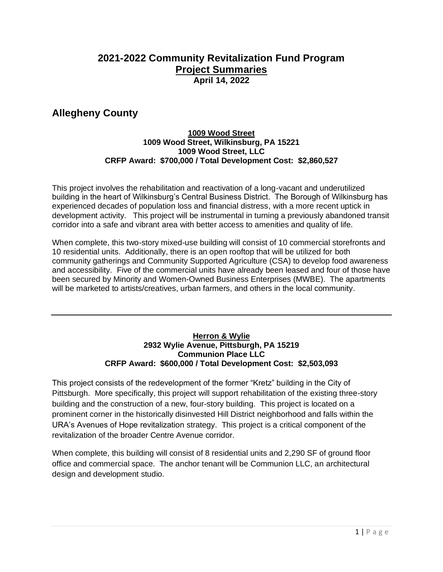### **2021-2022 Community Revitalization Fund Program Project Summaries April 14, 2022**

## **Allegheny County**

### **1009 Wood Street 1009 Wood Street, Wilkinsburg, PA 15221 1009 Wood Street, LLC CRFP Award: \$700,000 / Total Development Cost: \$2,860,527**

This project involves the rehabilitation and reactivation of a long-vacant and underutilized building in the heart of Wilkinsburg's Central Business District. The Borough of Wilkinsburg has experienced decades of population loss and financial distress, with a more recent uptick in development activity. This project will be instrumental in turning a previously abandoned transit corridor into a safe and vibrant area with better access to amenities and quality of life.

When complete, this two-story mixed-use building will consist of 10 commercial storefronts and 10 residential units. Additionally, there is an open rooftop that will be utilized for both community gatherings and Community Supported Agriculture (CSA) to develop food awareness and accessibility. Five of the commercial units have already been leased and four of those have been secured by Minority and Women-Owned Business Enterprises (MWBE). The apartments will be marketed to artists/creatives, urban farmers, and others in the local community.

#### **Herron & Wylie 2932 Wylie Avenue, Pittsburgh, PA 15219 Communion Place LLC CRFP Award: \$600,000 / Total Development Cost: \$2,503,093**

This project consists of the redevelopment of the former "Kretz" building in the City of Pittsburgh. More specifically, this project will support rehabilitation of the existing three-story building and the construction of a new, four-story building. This project is located on a prominent corner in the historically disinvested Hill District neighborhood and falls within the URA's Avenues of Hope revitalization strategy. This project is a critical component of the revitalization of the broader Centre Avenue corridor.

When complete, this building will consist of 8 residential units and 2,290 SF of ground floor office and commercial space. The anchor tenant will be Communion LLC, an architectural design and development studio.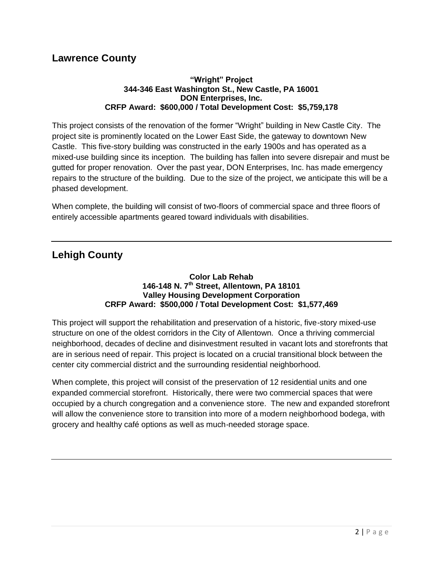### **Lawrence County**

#### **"Wright" Project 344-346 East Washington St., New Castle, PA 16001 DON Enterprises, Inc. CRFP Award: \$600,000 / Total Development Cost: \$5,759,178**

This project consists of the renovation of the former "Wright" building in New Castle City. The project site is prominently located on the Lower East Side, the gateway to downtown New Castle. This five-story building was constructed in the early 1900s and has operated as a mixed-use building since its inception. The building has fallen into severe disrepair and must be gutted for proper renovation. Over the past year, DON Enterprises, Inc. has made emergency repairs to the structure of the building. Due to the size of the project, we anticipate this will be a phased development.

When complete, the building will consist of two-floors of commercial space and three floors of entirely accessible apartments geared toward individuals with disabilities.

# **Lehigh County**

#### **Color Lab Rehab 146-148 N. 7th Street, Allentown, PA 18101 Valley Housing Development Corporation CRFP Award: \$500,000 / Total Development Cost: \$1,577,469**

This project will support the rehabilitation and preservation of a historic, five-story mixed-use structure on one of the oldest corridors in the City of Allentown. Once a thriving commercial neighborhood, decades of decline and disinvestment resulted in vacant lots and storefronts that are in serious need of repair. This project is located on a crucial transitional block between the center city commercial district and the surrounding residential neighborhood.

When complete, this project will consist of the preservation of 12 residential units and one expanded commercial storefront. Historically, there were two commercial spaces that were occupied by a church congregation and a convenience store. The new and expanded storefront will allow the convenience store to transition into more of a modern neighborhood bodega, with grocery and healthy café options as well as much-needed storage space.